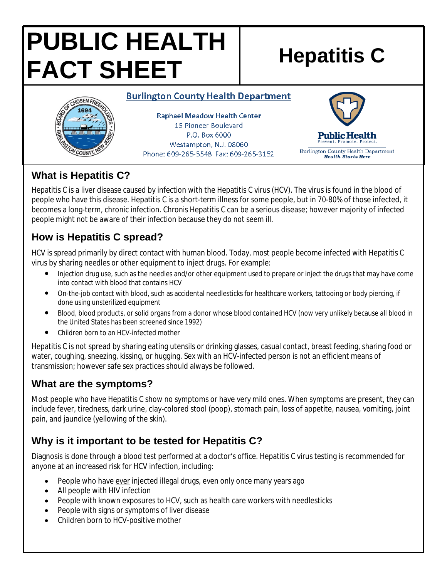# **PUBLIC HEALTH FACT SHEET** Hepatitis C

#### **Burlington County Health Department**



**Raphael Meadow Health Center** 15 Pioneer Boulevard P.O. Box 6000 Westampton, N.J. 08060 Phone: 609-265-5548 Fax: 609-265-3152



## **What is Hepatitis C?**

Hepatitis C is a liver disease caused by infection with the Hepatitis C virus (HCV). The virus is found in the blood of people who have this disease. Hepatitis C is a short-term illness for some people, but in 70-80% of those infected, it becomes a long-term, chronic infection. Chronis Hepatitis C can be a serious disease; however majority of infected people might not be aware of their infection because they do not seem ill.

# **How is Hepatitis C spread?**

HCV is spread primarily by direct contact with human blood. Today, most people become infected with Hepatitis C virus by sharing needles or other equipment to inject drugs. For example:

- Injection drug use, such as the needles and/or other equipment used to prepare or inject the drugs that may have come into contact with blood that contains HCV
- On-the-job contact with blood, such as accidental needlesticks for healthcare workers, tattooing or body piercing, if done using unsterilized equipment
- Blood, blood products, or solid organs from a donor whose blood contained HCV (now very unlikely because all blood in the United States has been screened since 1992)
- Children born to an HCV-infected mother

Hepatitis C is not spread by sharing eating utensils or drinking glasses, casual contact, breast feeding, sharing food or water, coughing, sneezing, kissing, or hugging. Sex with an HCV-infected person is not an efficient means of transmission; however safe sex practices should always be followed.

## **What are the symptoms?**

Most people who have Hepatitis C show no symptoms or have very mild ones. When symptoms are present, they can include fever, tiredness, dark urine, clay-colored stool (poop), stomach pain, loss of appetite, nausea, vomiting, joint pain, and jaundice (yellowing of the skin).

# **Why is it important to be tested for Hepatitis C?**

Diagnosis is done through a blood test performed at a doctor's office. Hepatitis C virus testing is recommended for anyone at an increased risk for HCV infection, including:

- People who have ever injected illegal drugs, even only once many years ago
- All people with HIV infection
- People with known exposures to HCV, such as health care workers with needlesticks
- People with signs or symptoms of liver disease
- Children born to HCV-positive mother